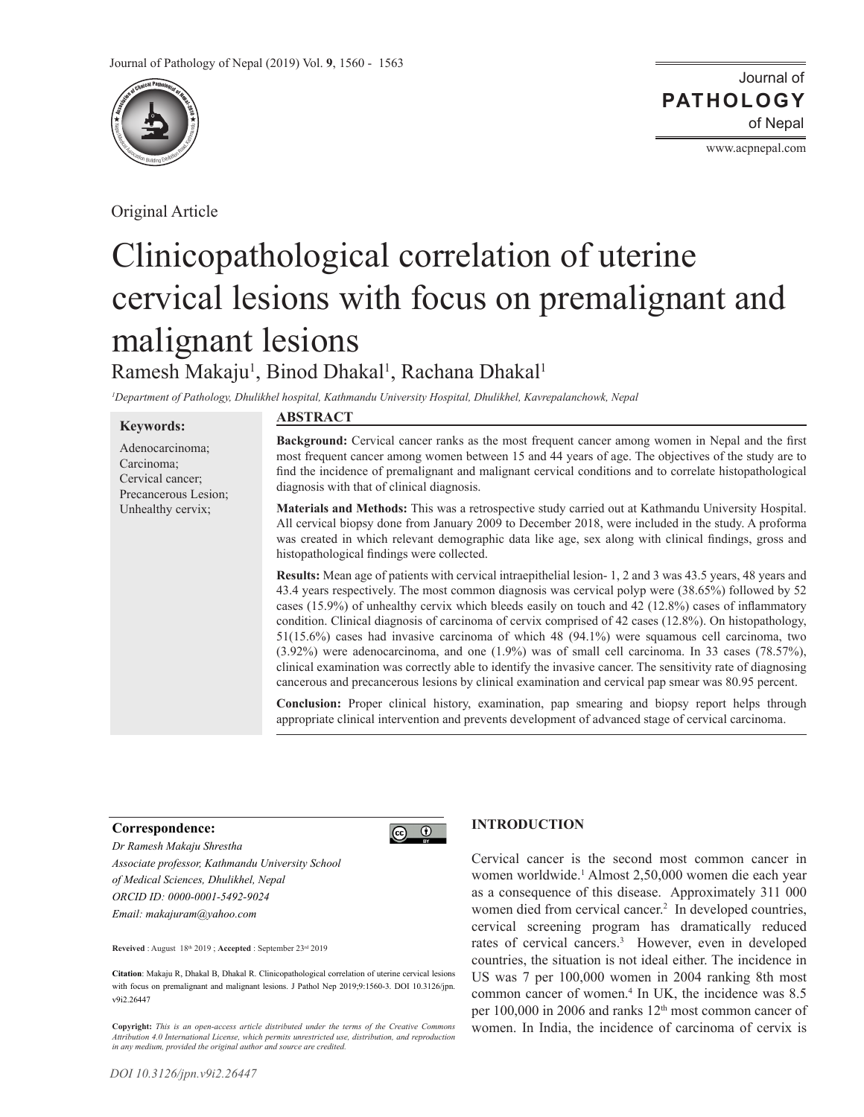

Original Article

Journal of of Nepal **PATHOLOGY**

www.acpnepal.com

# Clinicopathological correlation of uterine cervical lesions with focus on premalignant and malignant lesions Ramesh Makaju<sup>1</sup>, Binod Dhakal<sup>1</sup>, Rachana Dhakal<sup>1</sup>

*1 Department of Pathology, Dhulikhel hospital, Kathmandu University Hospital, Dhulikhel, Kavrepalanchowk, Nepal*

#### **Keywords:**

Adenocarcinoma; Carcinoma; Cervical cancer; Precancerous Lesion; Unhealthy cervix;

#### **ABSTRACT**

**Background:** Cervical cancer ranks as the most frequent cancer among women in Nepal and the first most frequent cancer among women between 15 and 44 years of age. The objectives of the study are to find the incidence of premalignant and malignant cervical conditions and to correlate histopathological diagnosis with that of clinical diagnosis.

**Materials and Methods:** This was a retrospective study carried out at Kathmandu University Hospital. All cervical biopsy done from January 2009 to December 2018, were included in the study. A proforma was created in which relevant demographic data like age, sex along with clinical findings, gross and histopathological findings were collected.

**Results:** Mean age of patients with cervical intraepithelial lesion- 1, 2 and 3 was 43.5 years, 48 years and 43.4 years respectively. The most common diagnosis was cervical polyp were (38.65%) followed by 52 cases (15.9%) of unhealthy cervix which bleeds easily on touch and 42 (12.8%) cases of inflammatory condition. Clinical diagnosis of carcinoma of cervix comprised of 42 cases (12.8%). On histopathology, 51(15.6%) cases had invasive carcinoma of which 48 (94.1%) were squamous cell carcinoma, two (3.92%) were adenocarcinoma, and one (1.9%) was of small cell carcinoma. In 33 cases (78.57%), clinical examination was correctly able to identify the invasive cancer. The sensitivity rate of diagnosing cancerous and precancerous lesions by clinical examination and cervical pap smear was 80.95 percent.

**Conclusion:** Proper clinical history, examination, pap smearing and biopsy report helps through appropriate clinical intervention and prevents development of advanced stage of cervical carcinoma.

#### **Correspondence:**

*Dr Ramesh Makaju Shrestha Associate professor, Kathmandu University School of Medical Sciences, Dhulikhel, Nepal ORCID ID: 0000-0001-5492-9024 Email: makajuram@yahoo.com*

**Reveived** : August 18th 2019 ; **Accepted** : September 23rd 2019

**Citation**: Makaju R, Dhakal B, Dhakal R. Clinicopathological correlation of uterine cervical lesions with focus on premalignant and malignant lesions. J Pathol Nep 2019;9:1560-3. DOI 10.3126/jpn. v9i2.26447

**Copyright:** *This is an open-access article distributed under the terms of the Creative Commons Attribution 4.0 International License, which permits unrestricted use, distribution, and reproduction in any medium, provided the original author and source are credited.*

## **INTRODUCTION**

 $\odot$   $\odot$ 

Cervical cancer is the second most common cancer in women worldwide.1 Almost 2,50,000 women die each year as a consequence of this disease. Approximately 311 000 women died from cervical cancer.<sup>2</sup> In developed countries, cervical screening program has dramatically reduced rates of cervical cancers.<sup>3</sup> However, even in developed countries, the situation is not ideal either. The incidence in US was 7 per 100,000 women in 2004 ranking 8th most common cancer of women.4 In UK, the incidence was 8.5 per 100,000 in 2006 and ranks 12<sup>th</sup> most common cancer of women. In India, the incidence of carcinoma of cervix is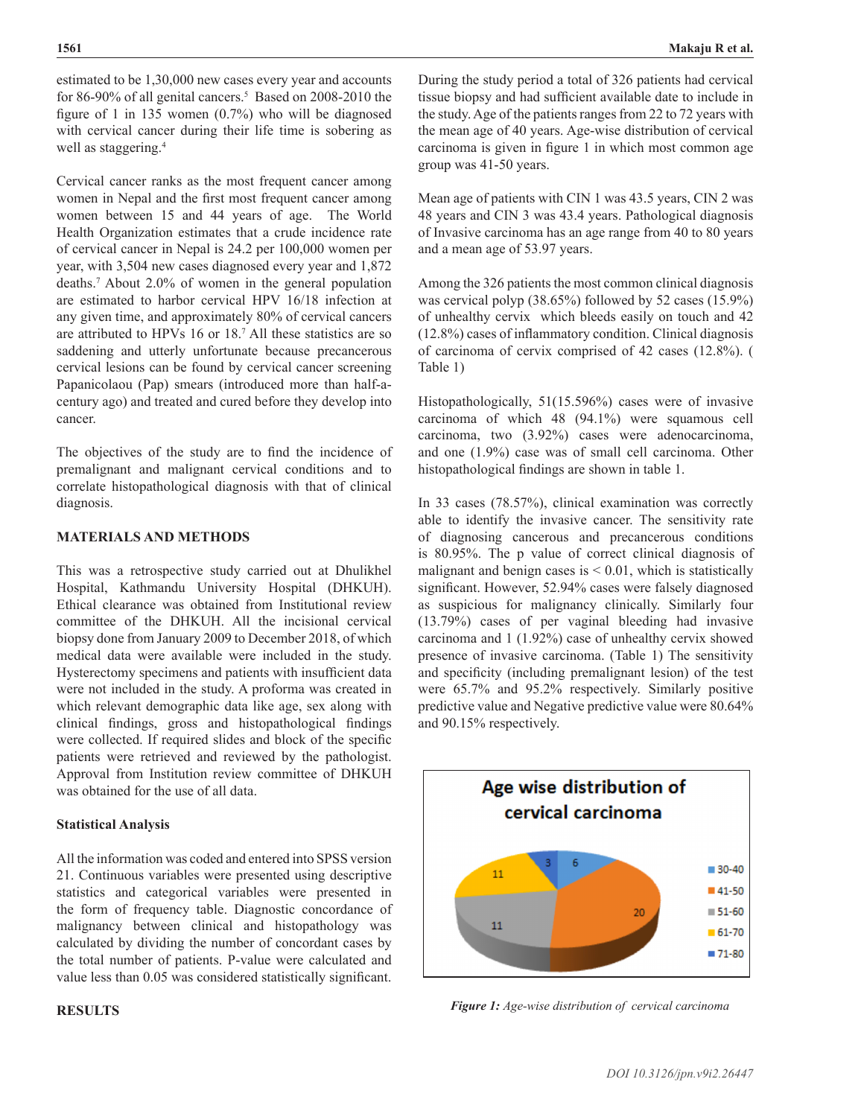estimated to be 1,30,000 new cases every year and accounts for 86-90% of all genital cancers.<sup>5</sup> Based on 2008-2010 the figure of 1 in 135 women (0.7%) who will be diagnosed with cervical cancer during their life time is sobering as well as staggering.<sup>4</sup>

Cervical cancer ranks as the most frequent cancer among women in Nepal and the first most frequent cancer among women between 15 and 44 years of age. The World Health Organization estimates that a crude incidence rate of cervical cancer in Nepal is 24.2 per 100,000 women per year, with 3,504 new cases diagnosed every year and 1,872 deaths.7 About 2.0% of women in the general population are estimated to harbor cervical HPV 16/18 infection at any given time, and approximately 80% of cervical cancers are attributed to HPVs 16 or 18.7 All these statistics are so saddening and utterly unfortunate because precancerous cervical lesions can be found by cervical cancer screening Papanicolaou (Pap) smears (introduced more than half-acentury ago) and treated and cured before they develop into cancer.

The objectives of the study are to find the incidence of premalignant and malignant cervical conditions and to correlate histopathological diagnosis with that of clinical diagnosis.

## **MATERIALS AND METHODS**

This was a retrospective study carried out at Dhulikhel Hospital, Kathmandu University Hospital (DHKUH). Ethical clearance was obtained from Institutional review committee of the DHKUH. All the incisional cervical biopsy done from January 2009 to December 2018, of which medical data were available were included in the study. Hysterectomy specimens and patients with insufficient data were not included in the study. A proforma was created in which relevant demographic data like age, sex along with clinical findings, gross and histopathological findings were collected. If required slides and block of the specific patients were retrieved and reviewed by the pathologist. Approval from Institution review committee of DHKUH was obtained for the use of all data.

## **Statistical Analysis**

All the information was coded and entered into SPSS version 21. Continuous variables were presented using descriptive statistics and categorical variables were presented in the form of frequency table. Diagnostic concordance of malignancy between clinical and histopathology was calculated by dividing the number of concordant cases by the total number of patients. P-value were calculated and value less than 0.05 was considered statistically significant.

## **RESULTS**

During the study period a total of 326 patients had cervical tissue biopsy and had sufficient available date to include in the study. Age of the patients ranges from 22 to 72 years with the mean age of 40 years. Age-wise distribution of cervical carcinoma is given in figure 1 in which most common age group was 41-50 years.

Mean age of patients with CIN 1 was 43.5 years, CIN 2 was 48 years and CIN 3 was 43.4 years. Pathological diagnosis of Invasive carcinoma has an age range from 40 to 80 years and a mean age of 53.97 years.

Among the 326 patients the most common clinical diagnosis was cervical polyp (38.65%) followed by 52 cases (15.9%) of unhealthy cervix which bleeds easily on touch and 42 (12.8%) cases of inflammatory condition. Clinical diagnosis of carcinoma of cervix comprised of 42 cases (12.8%). ( Table 1)

Histopathologically, 51(15.596%) cases were of invasive carcinoma of which 48 (94.1%) were squamous cell carcinoma, two (3.92%) cases were adenocarcinoma, and one (1.9%) case was of small cell carcinoma. Other histopathological findings are shown in table 1.

In 33 cases (78.57%), clinical examination was correctly able to identify the invasive cancer. The sensitivity rate of diagnosing cancerous and precancerous conditions is 80.95%. The p value of correct clinical diagnosis of malignant and benign cases is  $< 0.01$ , which is statistically significant. However, 52.94% cases were falsely diagnosed as suspicious for malignancy clinically. Similarly four (13.79%) cases of per vaginal bleeding had invasive carcinoma and 1 (1.92%) case of unhealthy cervix showed presence of invasive carcinoma. (Table 1) The sensitivity and specificity (including premalignant lesion) of the test were 65.7% and 95.2% respectively. Similarly positive predictive value and Negative predictive value were 80.64% and 90.15% respectively.



*Figure 1: Age-wise distribution of cervical carcinoma*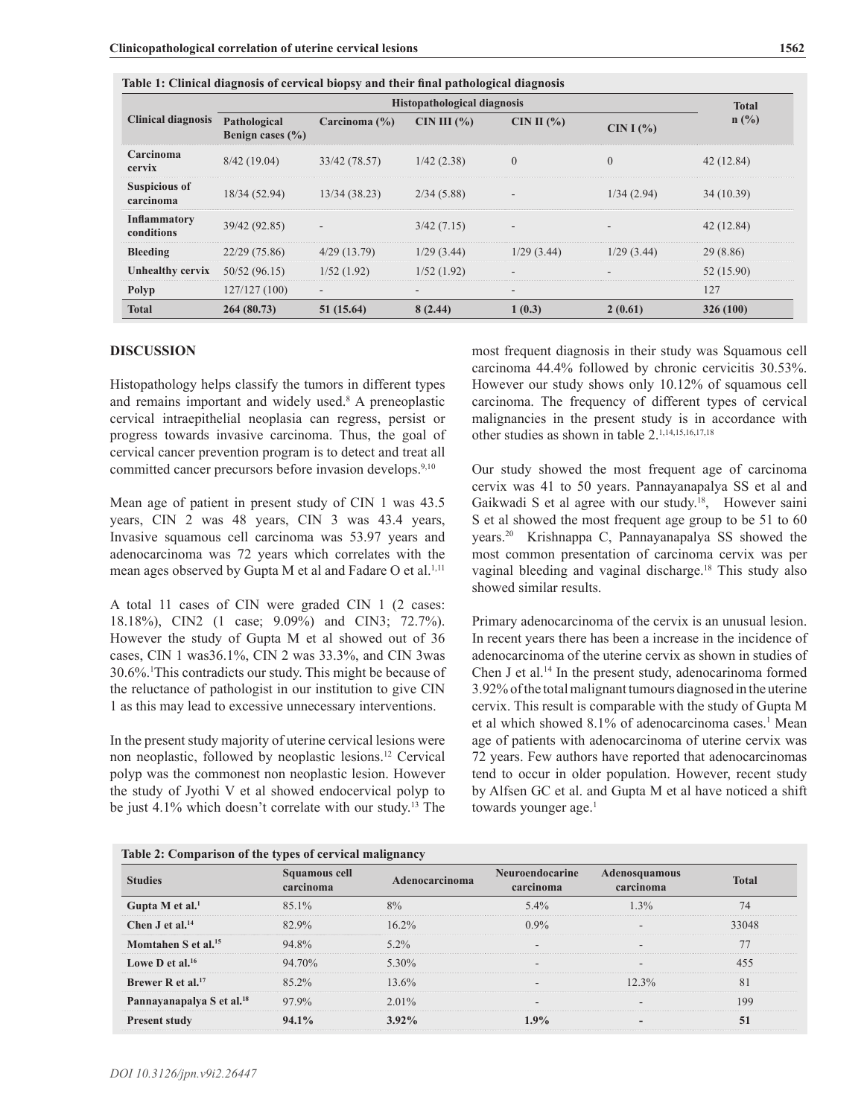| <b>Clinical diagnosis</b>         | Histopathological diagnosis          |                          |               |                          |              |                |  |
|-----------------------------------|--------------------------------------|--------------------------|---------------|--------------------------|--------------|----------------|--|
|                                   | Pathological<br>Benign cases $(\% )$ | Carcinoma $(\% )$        | CIN III $(%)$ | CIN II $(\% )$           | CIN I $(% )$ | $n(^{0}/_{0})$ |  |
| Carcinoma<br>cervix               | 8/42(19.04)                          | 33/42 (78.57)            | 1/42(2.38)    | $\boldsymbol{0}$         | $\theta$     | 42(12.84)      |  |
| <b>Suspicious of</b><br>carcinoma | 18/34 (52.94)                        | 13/34(38.23)             | 2/34(5.88)    |                          | 1/34(2.94)   | 34(10.39)      |  |
| <b>Inflammatory</b><br>conditions | 39/42 (92.85)                        |                          | 3/42(7.15)    | $\overline{\phantom{a}}$ |              | 42(12.84)      |  |
| <b>Bleeding</b>                   | 22/29(75.86)                         | $4/29$ (13.79)           | 1/29(3.44)    | 1/29(3.44)               | 1/29(3.44)   | 29(8.86)       |  |
| <b>Unhealthy cervix</b>           | 50/52(96.15)                         | 1/52(1.92)               | 1/52(1.92)    |                          |              | 52 (15.90)     |  |
| Polyp                             | 127/127(100)                         | $\overline{\phantom{a}}$ |               | $\overline{\phantom{a}}$ |              | 127            |  |
| <b>Total</b>                      | 264 (80.73)                          | 51(15.64)                | 8(2.44)       | 1(0.3)                   | 2(0.61)      | 326 (100)      |  |

|  |  |  | Table 1: Clinical diagnosis of cervical biopsy and their final pathological diagnosis |  |
|--|--|--|---------------------------------------------------------------------------------------|--|
|  |  |  |                                                                                       |  |

### **DISCUSSION**

Histopathology helps classify the tumors in different types and remains important and widely used.<sup>8</sup> A preneoplastic cervical intraepithelial neoplasia can regress, persist or progress towards invasive carcinoma. Thus, the goal of cervical cancer prevention program is to detect and treat all committed cancer precursors before invasion develops.<sup>9,10</sup>

Mean age of patient in present study of CIN 1 was 43.5 years, CIN 2 was 48 years, CIN 3 was 43.4 years, Invasive squamous cell carcinoma was 53.97 years and adenocarcinoma was 72 years which correlates with the mean ages observed by Gupta M et al and Fadare O et al.<sup>1,11</sup>

A total 11 cases of CIN were graded CIN 1 (2 cases: 18.18%), CIN2 (1 case; 9.09%) and CIN3; 72.7%). However the study of Gupta M et al showed out of 36 cases, CIN 1 was36.1%, CIN 2 was 33.3%, and CIN 3was 30.6%.1 This contradicts our study. This might be because of the reluctance of pathologist in our institution to give CIN 1 as this may lead to excessive unnecessary interventions.

In the present study majority of uterine cervical lesions were non neoplastic, followed by neoplastic lesions.12 Cervical polyp was the commonest non neoplastic lesion. However the study of Jyothi V et al showed endocervical polyp to be just 4.1% which doesn't correlate with our study.13 The

**Table 2: Comparison of the types of cervical malignancy**

most frequent diagnosis in their study was Squamous cell carcinoma 44.4% followed by chronic cervicitis 30.53%. However our study shows only 10.12% of squamous cell carcinoma. The frequency of different types of cervical malignancies in the present study is in accordance with other studies as shown in table 2.1,14,15,16,17,18

Our study showed the most frequent age of carcinoma cervix was 41 to 50 years. Pannayanapalya SS et al and Gaikwadi S et al agree with our study.<sup>18</sup>, However saini S et al showed the most frequent age group to be 51 to 60 years.20 Krishnappa C, Pannayanapalya SS showed the most common presentation of carcinoma cervix was per vaginal bleeding and vaginal discharge.<sup>18</sup> This study also showed similar results.

Primary adenocarcinoma of the cervix is an unusual lesion. In recent years there has been a increase in the incidence of adenocarcinoma of the uterine cervix as shown in studies of Chen J et al.14 In the present study, adenocarinoma formed 3.92% of the total malignant tumours diagnosed in the uterine cervix. This result is comparable with the study of Gupta M et al which showed 8.1% of adenocarcinoma cases.<sup>1</sup> Mean age of patients with adenocarcinoma of uterine cervix was 72 years. Few authors have reported that adenocarcinomas tend to occur in older population. However, recent study by Alfsen GC et al. and Gupta M et al have noticed a shift towards younger age.<sup>1</sup>

| <b>Studies</b>                        | Squamous cell<br>carcinoma | Adenocarcinoma | <b>Neuroendocarine</b> | <b>Adenosquamous</b> |              |
|---------------------------------------|----------------------------|----------------|------------------------|----------------------|--------------|
|                                       |                            |                | carcinoma              | carcinoma            | <b>Total</b> |
| Gupta M et al. $1$                    | $85.1\%$                   | 8%             | $5.4\%$                | 1.3%                 | 74           |
| Chen $J$ et al. <sup>14</sup>         | 82.9%                      | $16.2\%$       | $0.9\%$                |                      | 33048        |
| Momtahen S et al. <sup>15</sup>       | 94.8%                      | $5.2\%$        |                        |                      | 77           |
| Lowe D et al. $16$                    | 94.70%                     | $5.30\%$       |                        |                      | 455          |
| Brewer R et al. $17$                  | 85.2%                      | 13.6%          |                        | $12.3\%$             | 81           |
| Pannayanapalya S et al. <sup>18</sup> | 97.9%                      | $2.01\%$       |                        |                      | 199          |
| <b>Present study</b>                  | 94.1%                      | $3.92\%$       | $1.9\%$                |                      | 51           |